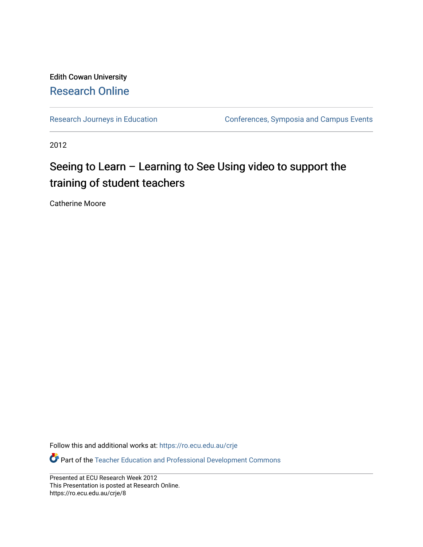#### Edith Cowan University [Research Online](https://ro.ecu.edu.au/)

[Research Journeys in Education](https://ro.ecu.edu.au/crje) **Conferences**, Symposia and Campus Events

2012

#### Seeing to Learn – Learning to See Using video to support the training of student teachers

Catherine Moore

Follow this and additional works at: [https://ro.ecu.edu.au/crje](https://ro.ecu.edu.au/crje?utm_source=ro.ecu.edu.au%2Fcrje%2F8&utm_medium=PDF&utm_campaign=PDFCoverPages) 

Part of the [Teacher Education and Professional Development Commons](http://network.bepress.com/hgg/discipline/803?utm_source=ro.ecu.edu.au%2Fcrje%2F8&utm_medium=PDF&utm_campaign=PDFCoverPages) 

Presented at ECU Research Week 2012 This Presentation is posted at Research Online. https://ro.ecu.edu.au/crje/8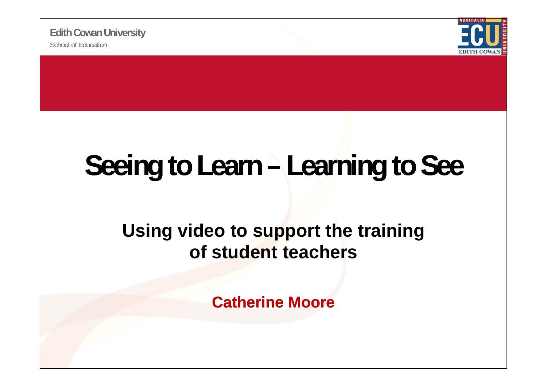School of Education**Edith Cowan University**



### **Seeing to Learn – Learning to See**

#### **Using video to support the training of student teachers**

**Catherine Moore**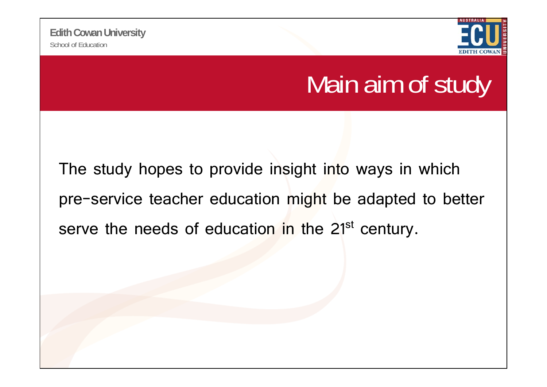

#### Main aim of study

The study hopes to provide insight into ways in which pre-service teacher education might be adapted to better serve the needs of education in the 21<sup>st</sup> century.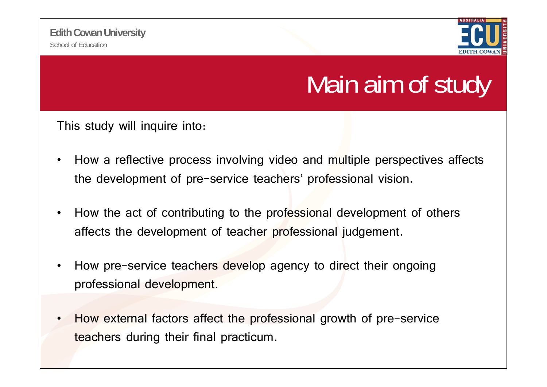

#### Main aim of study

This study will inquire into:

- $\bullet$ How a reflective process involving video and multiple perspectives affects the development of pre-service teachers' professional vision.
- • How the act of contributing to the professional development of others affects the development of teacher professional judgement.
- •How pre-service teachers develop agency to direct their ongoing professional development.
- •How external factors affect the professional growth of pre-service teachers during their final practicum.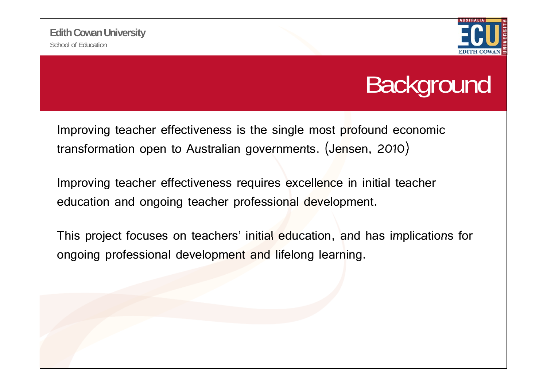

#### **Background**

Improving teacher effectiveness is the single most profound economic transformation open to Australian governments. (Jensen, 2010)

Improving teacher effectiveness requires excellence in initial teacher education and ongoing teacher professional development.

This project focuses on teachers' initial education, and has implications for ongoing professional development and lifelong learning.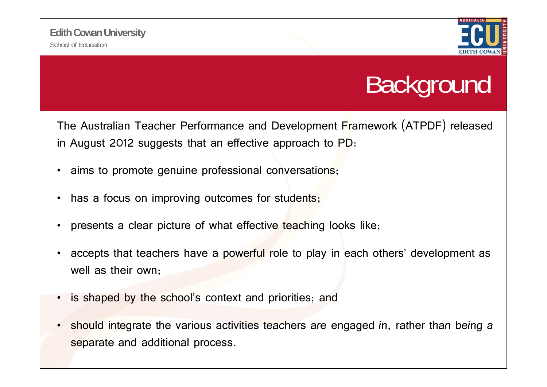

#### **Background**

The Australian Teacher Performance and Development Framework (ATPDF) released in August 2012 suggests that an effective approach to PD:

- •aims to promote genuine professional conversations;
- •has a focus on improving outcomes for students;
- •presents a clear picture of what effective teaching looks like;
- •accepts that teachers have a powerful role to play in each others' development as well as their own;
- •is shaped by the school's context and priorities; and
- •should integrate the various activities teachers are engaged in, rather than being a separate and additional process.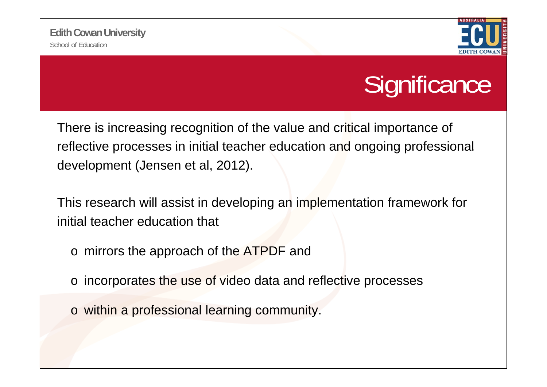

#### **Significance**

There is increasing recognition of the value and critical importance of reflective processes in initial teacher education and ongoing professional development (Jensen et al, 2012).

This research will assist in developing an implementation framework for initial teacher education that

- o mirrors the approach of the ATPDF and
- $\circ$  incorporates the use of video data and reflective processes
- o within a professional learning community.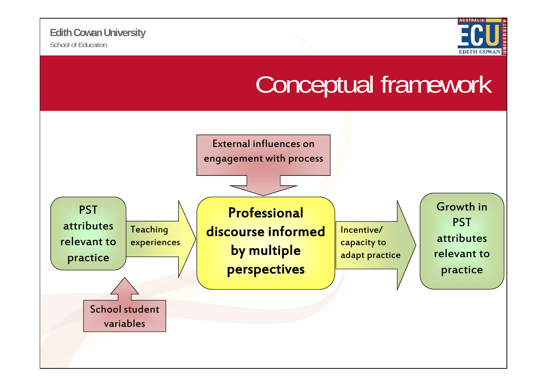

#### Conceptual framework

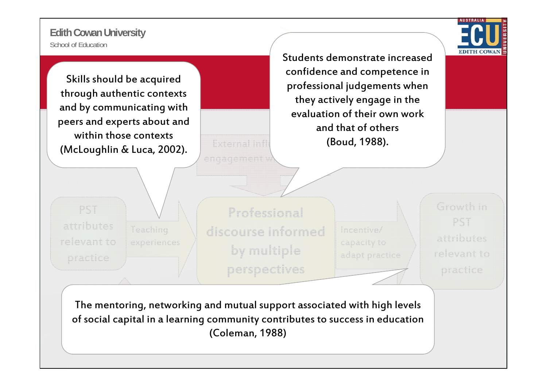School of Education**Edith Cowan University**

PST

attributes

l relevant to



Skills should be acquired through authentic contexts d by communicating with peers and experts about and within those contexts (McLoughlin & Luca, 2002).

experiences

Students demonstrate increasedconfidence and competence in professional judgements when they actively engage in the evaluation of their own work and that of others (Boud, 1988).

 $\text{Teaching}$   $\setminus$  discourse informed Incentive/ Professional practice by multiple perspectives

Growth in capacity to **attributes** adapt practice

PST relevant to practice

The mentoring, networking and mutual support associated with high levels of social capital in a learning community contributes to success in education (Coleman, 1988)

External infl

engagement v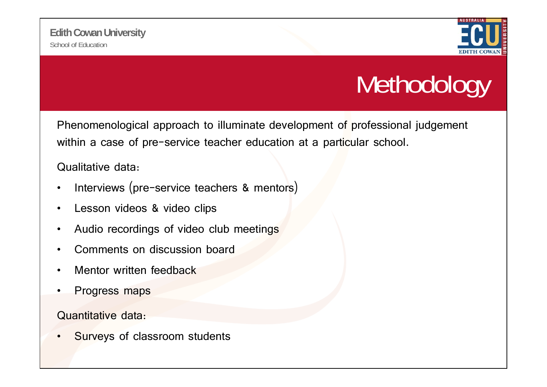

### Methodology

Phenomenological approach to illuminate development of professional judgement within a case of pre-service teacher education at a particular school.

Qualitative data:

- •Interviews (pre-service teachers & mentors)
- •Lesson videos & video clips
- •Audio recordings of video club meetings
- •Comments on discussion board
- •Mentor written feedback
- •Progress maps

Quantitative data:

•Surveys of classroom students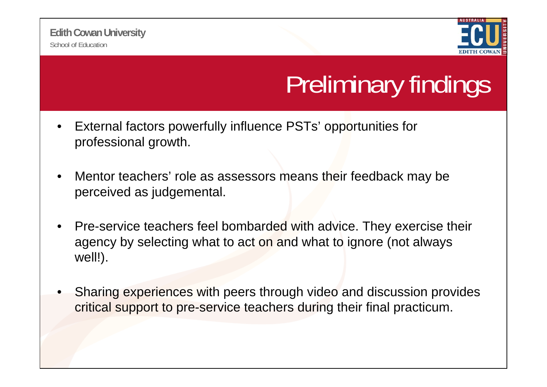

## Preliminary findings

- • External factors powerfully influence PSTs' opportunities for professional growth.
- • Mentor teachers' role as assessors means their feedback may be perceived as judgemental.
- •Pre-service teachers feel bombarded with advice. They exercise their agency by selecting what to act on and what to ignore (not always well!).
- • Sharing experiences with peers through video and discussion provides critical support to pre-service teachers during their final practicum.